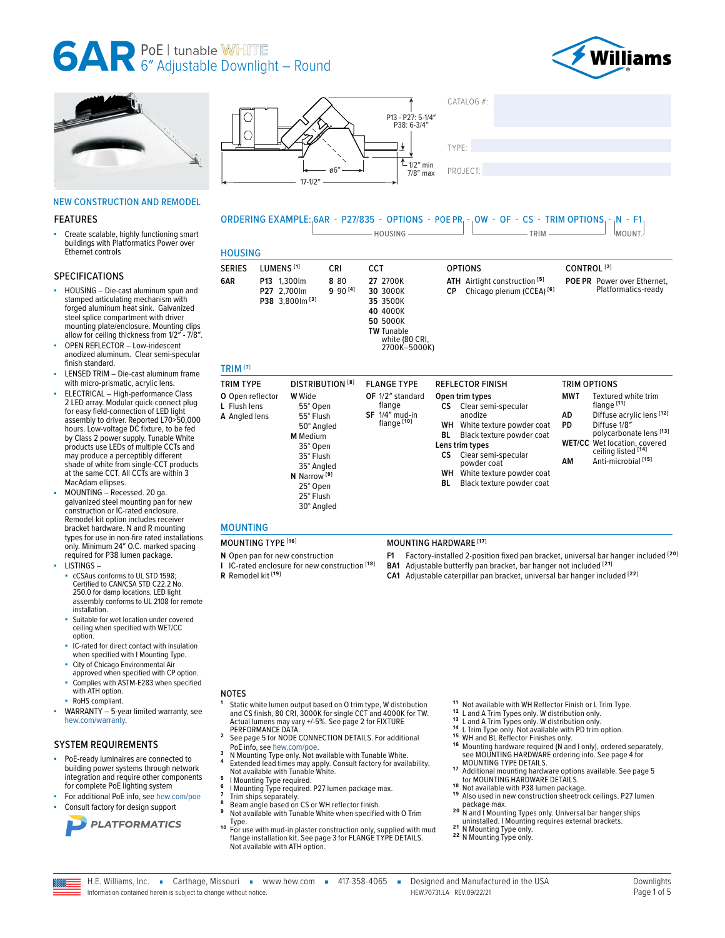





#### NEW CONSTRUCTION AND REMODEL

#### FEATURES

Create scalable, highly functioning smart buildings with Platformatics Power over Ethernet controls

#### SPECIFICATIONS

- HOUSING Die-cast aluminum spun and stamped articulating mechanism with forged aluminum heat sink. Galvanized steel splice compartment with driver mounting plate/enclosure. Mounting clips allow for ceiling thickness from 1/2″ - 7/8″.
- OPEN REFLECTOR Low-iridescent anodized aluminum. Clear semi-specular finish standard.
- LENSED TRIM Die-cast aluminum frame with micro-prismatic, acrylic lens.
- ELECTRICAL High-performance Class 2 LED array. Modular quick-connect plug for easy field-connection of LED light assembly to driver. Reported L70>50,000 hours. Low-voltage DC fixture, to be fed by Class 2 power supply. Tunable White products use LEDs of multiple CCTs and may produce a perceptibly different shade of white from single-CCT products at the same CCT. All CCTs are within 3 MacAdam ellipses.
- MOUNTING Recessed. 20 ga. galvanized steel mounting pan for new construction or IC-rated enclosure. Remodel kit option includes receiver bracket hardware. N and R mounting types for use in non-fire rated installations only. Minimum 24″ O.C. marked spacing required for P38 lumen package.
- LISTINGS cCSAus conforms to UL STD 1598; Certified to CAN/CSA STD C22.2 No. 250.0 for damp locations. LED light assembly conforms to UL 2108 for remote installation.
- Suitable for wet location under covered ceiling when specified with WET/CC option
- IC-rated for direct contact with insulation when specified with I Mounting Type.
- City of Chicago Environmental Air approved when specified with CP option. ■ Complies with ASTM-E283 when specified
- with ATH option.
- RoHS compliant.
- WARRANTY 5-year limited warranty, see [hew.com/warranty.](https://www.hew.com/resources/warranty-and-terms)

#### SYSTEM REQUIREMENTS

- PoE-ready luminaires are connected to building power systems through network integration and require other components for complete PoE lighting system
- For additional PoE info, see [hew.com/poe](https://www.hew.com/poe)
- Consult factory for design support





### ORDERING EXAMPLE: 6AR - P27/835 - OPTIONS - POE PR - OW - OF - CS - TRIM OPTIONS - N - F1 MOUNT.

| <b>SERIES</b>                  | LUMENS <sup>[1]</sup>                                     | CRI                     | <b>CCT</b>                                                                                                      | <b>OPTIONS</b>                                                                         |            | CONTROL <sup>[2]</sup>                                    |
|--------------------------------|-----------------------------------------------------------|-------------------------|-----------------------------------------------------------------------------------------------------------------|----------------------------------------------------------------------------------------|------------|-----------------------------------------------------------|
| 6AR                            | P13 1.300lm<br>P27 2.700lm<br>P38 3,800 lm <sup>[3]</sup> | 8 80<br>$990^{[4]}$     | 27 2700K<br>30 3000K<br>35 3500K<br>40 4000K<br>50 5000K<br><b>TW</b> Tunable<br>white (80 CRI,<br>2700K-5000K) | ATH Airtight construction <sup>[5]</sup><br>Chicago plenum (CCEA) <sup>[6]</sup><br>СP |            | <b>POE PR</b> Power over Ethernet,<br>Platformatics-ready |
| <b>TRIM [7]</b>                |                                                           |                         |                                                                                                                 |                                                                                        |            |                                                           |
| <b>TRIM TYPE</b>               |                                                           | <b>DISTRIBUTION [8]</b> | <b>FLANGE TYPE</b>                                                                                              | <b>REFLECTOR FINISH</b>                                                                |            | <b>TRIM OPTIONS</b>                                       |
| O Open reflector<br>Eluch Jone | <b>W</b> Wide<br>EF <sup>o</sup> Onon                     |                         | OF 1/2" standard<br>flange                                                                                      | Open trim types<br>CC Close comi concular                                              | <b>MWT</b> | Textured white trim<br>flange [11]                        |

#### **L** Flush lens **A** Angled lens 55° Open 55° Flush 50° Angled **M** Medium 35° Open 35° Flush 35° Angled **N** Narrow **[9]** 25° Open 25° Flush 30° Angled flange **SF** 1/4″ mud-in flange **[10]** semi-specula anodize **WH** White texture powder coat<br>**BI** Black texture powder coat **Black texture powder coat Lens trim types**<br>CS Clear ser Clear semi-specular powder coat **WH** White texture powder coat **BL** Black texture powder coat flange **[11] AD** Diffuse acrylic lens **[12] PD** Diffuse 1/8″ polycarbonate lens **[13] WET/CC** Wet location, covered ceiling listed **[14] AM** Anti-microbial **[15]**

### MOUNTING

- 
- **N** Open pan for new construction
- **I** IC-rated enclosure for new construction **[18]**

#### **R** Remodel kit **[19]**

#### MOUNTING TYPE **[16]** MOUNTING HARDWARE **[17]**

- **F1** Factory-installed 2-position fixed pan bracket, universal bar hanger included **[20]**
- **BA1** Adjustable butterfly pan bracket, bar hanger not included **[21]**
- **CA1** Adjustable caterpillar pan bracket, universal bar hanger included **[22]**

#### NOTES

- **<sup>1</sup>** Static white lumen output based on O trim type, W distribution and CS finish, 80 CRI, 3000K for single CCT and 4000K for TW. Actual lumens may vary +/-5%. See page 2 for FIXTURE<br>PERFORMANCE DATA.
- <sup>2</sup> [See page 5 for NODE CONNECTION DETAILS.](#page-4-0) For additional
- 
- Poe info, see [hew.com/poe.](https://www.hew.com/poe)<br>**Poe info, see hew.com/poe.**<br>**N** Mounting Type only. Not available with Tunable White.<br>**Extended lead times may apply. Consult factory for availability.**<br>Not available with Tunable White.
- 
- 
- 
- <sup>5</sup><br>
I Mounting Type required.<br>
<sup>6</sup><br>
<sup>7</sup> Trim ships separately.<br>
<sup>8</sup> Beam angle based on CS or WH reflector finish.<br>
<sup>8</sup> Beam angle based on CS or WH reflector finish.<br>
<sup>9</sup> Not available with Tunable White when specified w
- Type. **1 0** For use with mud-in plaster construction only, supplied with mud flange installation kit. [See page 3 for FLANGE TYPE DETAILS.](#page-2-0)  Not available with ATH option.
- 
- 
- 
- 
- 11 Not available with WH Reflector Finish or L Trim Type.<br>12 L and A Trim Types only. W distribution only.<br>13 L and A Trim Types only. W distribution only.<br>14 L Trim Type only. Not available with PD trim option.<br>15 Wh and Will and Dic Neuevolt Timeshes only.<br>16 Mounting hardware required (N and I only), ordered separately,<br>see MOUNTING HARDWARE ordering info. See page 4 for<br>MOUNTING TYPE DETAILS.
- Additional mounting hardware options available. See page 5<br>for MOUNTING HARDWARE DETAILS.
- 
- **18** Not available with P38 lumen package.<br> **19** Also used in new construction sheetrock ceilings. P27 lumen package max.
- package max. **2 0** N and I Mounting Types only. Universal bar hanger ships
- 
- uninstalled. **I Mounting**<br>22 N Mounting Type only.<br><sup>22</sup> N Mounting Type only.

H.E. Williams, Inc. · Carthage, Missouri · www.hew.com · 417-358-4065 · Designed and Manufactured in the USA Information contained herein is subject to change without notice. HEW.70731.LA REV.09/22/21 Page 1 of 5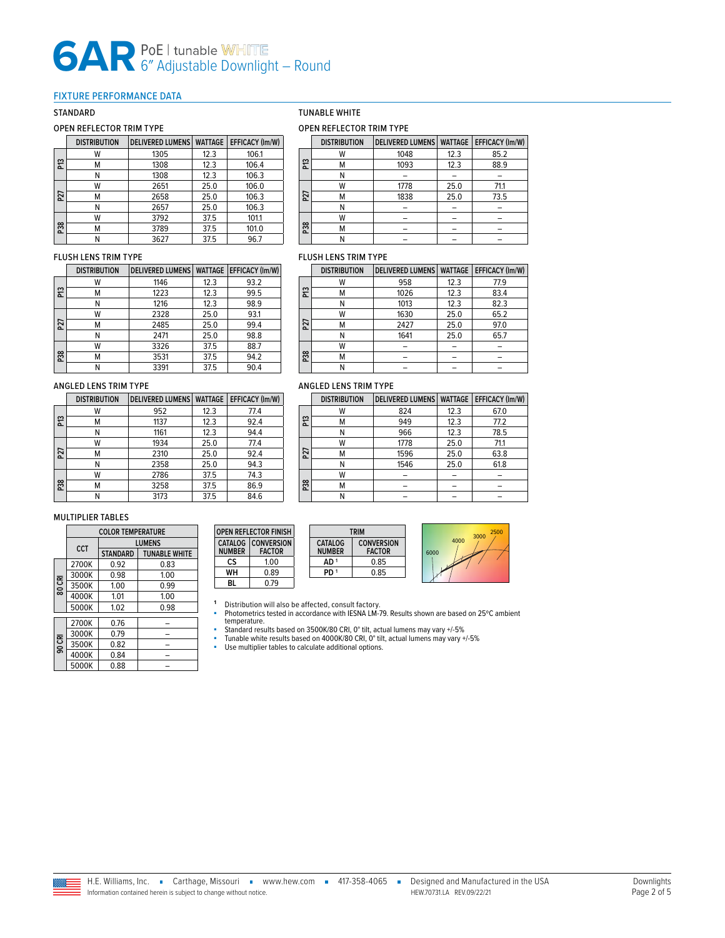#### <span id="page-1-0"></span>FIXTURE PERFORMANCE DATA

#### OPEN REFLECTOR TRIM TYPE

|     | <b>DISTRIBUTION</b> | <b>DELIVERED LUMENS</b> | <b>WATTAGE</b> | <b>EFFICACY (Im/W)</b> |
|-----|---------------------|-------------------------|----------------|------------------------|
|     | W                   | 1305                    | 12.3           | 106.1                  |
| ឌ   | м                   | 1308                    | 12.3           | 106.4                  |
|     | Ν                   | 1308                    | 12.3           | 106.3                  |
|     | w                   | 2651                    | 25.0           | 106.0                  |
| P27 | М                   | 2658                    | 25.0           | 106.3                  |
|     | Ν                   | 2657                    | 25.0           | 106.3                  |
|     | w                   | 3792                    | 37.5           | 101.1                  |
| P38 | М                   | 3789                    | 37.5           | 101.0                  |
|     | Ν                   | 3627                    | 37.5           | 96.7                   |

#### FLUSH LENS TRIM TYPE

|                 | <b>DISTRIBUTION</b> | <b>DELIVERED LUMENS</b> | <b>WATTAGE</b> | <b>EFFICACY (Im/W)</b> |
|-----------------|---------------------|-------------------------|----------------|------------------------|
|                 | w                   | 1146                    | 12.3           | 93.2                   |
| ឌ               | м                   | 1223                    | 12.3           | 99.5                   |
|                 | Ν                   | 1216                    | 12.3           | 98.9                   |
|                 | w                   | 2328                    | 25.0           | 93.1                   |
| P <sub>27</sub> | м                   | 2485                    | 25.0           | 99.4                   |
|                 | Ν                   | 2471                    | 25.0           | 98.8                   |
|                 | w                   | 3326                    | 37.5           | 88.7                   |
| P38             | м                   | 3531                    | 37.5           | 94.2                   |
|                 |                     | 3391                    | 37.5           | 90.4                   |

#### ANGLED LENS TRIM TYPE

|     | <b>DISTRIBUTION</b> | DELIVERED LUMENS   WATTAGE |      | <b>EFFICACY (Im/W)</b> |
|-----|---------------------|----------------------------|------|------------------------|
|     | w                   | 952                        | 12.3 | 77.4                   |
| ឌ   | м                   | 1137                       | 12.3 | 92.4                   |
|     | Ν                   | 1161                       | 12.3 | 94.4                   |
|     | w                   | 1934                       | 25.0 | 77.4                   |
| P27 | М                   | 2310                       | 25.0 | 92.4                   |
|     | Ν                   | 2358                       | 25.0 | 94.3                   |
|     | w                   | 2786                       | 37.5 | 74.3                   |
| P38 | М                   | 3258                       | 37.5 | 86.9                   |
|     | Ν                   | 3173                       | 37.5 | 84.6                   |

#### MULTIPLIER TABLES

|        | <b>COLOR TEMPERATURE</b> |                 |                      |  |  |
|--------|--------------------------|-----------------|----------------------|--|--|
|        | CCT                      | <b>LUMENS</b>   |                      |  |  |
|        |                          | <b>STANDARD</b> | <b>TUNABLE WHITE</b> |  |  |
|        | 2700K                    | 0.92            | 0.83                 |  |  |
|        | 3000K                    | 0.98            | 1.00                 |  |  |
| 80 CRI | 3500K                    | 1.00            | 0.99                 |  |  |
|        | 4000K                    | 1.01            | 1.00                 |  |  |
|        | 5000K                    | 1.02            | 0.98                 |  |  |
|        | 2700K                    | 0.76            |                      |  |  |
|        |                          |                 |                      |  |  |
|        | 3000K                    | 0.79            |                      |  |  |
| 90 CRI | 3500K                    | 0.82            |                      |  |  |
|        | 4000K                    | 0.84            |                      |  |  |
|        | 5000K                    | 0.88            |                      |  |  |

#### STANDARD TUNABLE WHITE

#### OPEN REFLECTOR TRIM TYPE

|     | <b>DISTRIBUTION</b> | DELIVERED LUMENS   WATTAGE   EFFICACY (Im/W) |      |      |
|-----|---------------------|----------------------------------------------|------|------|
|     | W                   | 1048                                         | 12.3 | 85.2 |
| ឌ   | м                   | 1093                                         | 12.3 | 88.9 |
|     | N                   |                                              |      |      |
|     | W                   | 1778                                         | 25.0 | 71.1 |
| P27 | м                   | 1838                                         | 25.0 | 73.5 |
|     | N                   |                                              |      |      |
|     | W                   |                                              |      |      |
| P38 | M                   |                                              |      |      |
|     |                     |                                              |      |      |

#### FLUSH LENS TRIM TYPE

|                 | <b>DISTRIBUTION</b> | <b>DELIVERED LUMENS</b> | <b>WATTAGE</b> | <b>EFFICACY (Im/W)</b> |
|-----------------|---------------------|-------------------------|----------------|------------------------|
|                 | w                   | 958                     | 12.3           | 77.9                   |
| ឌ               | м                   | 1026                    | 12.3           | 83.4                   |
|                 | Ν                   | 1013                    | 12.3           | 82.3                   |
|                 | W                   | 1630                    | 25.0           | 65.2                   |
| P <sub>27</sub> | М                   | 2427                    | 25.0           | 97.0                   |
|                 | Ν                   | 1641                    | 25.0           | 65.7                   |
|                 | w                   |                         |                |                        |
| P38             | М                   |                         |                |                        |
|                 |                     |                         |                |                        |

#### ANGLED LENS TRIM TYPE

|                | <b>DISTRIBUTION</b> | DELIVERED LUMENS   WATTAGE |      | EFFICACY (Im/W) |
|----------------|---------------------|----------------------------|------|-----------------|
|                | W                   | 824                        | 12.3 | 67.0            |
| ឌ              | м                   | 949                        | 12.3 | 77.2            |
|                | Ν                   | 966                        | 12.3 | 78.5            |
| P <sub>2</sub> | W                   | 1778                       | 25.0 | 71.1            |
|                | м                   | 1596                       | 25.0 | 63.8            |
|                | N                   | 1546                       | 25.0 | 61.8            |
|                | W                   |                            |      |                 |
| P38            | М                   |                            |      |                 |
|                |                     |                            |      |                 |

| 2500<br>3000 | <b>TRIM</b>                        |                                 |                                    | <b>OPEN REFLECTOR FINISH</b> |                                 |
|--------------|------------------------------------|---------------------------------|------------------------------------|------------------------------|---------------------------------|
| 4000<br>6000 | <b>CONVERSION</b><br><b>FACTOR</b> | <b>CATALOG</b><br><b>NUMBER</b> | <b>CONVERSION</b><br><b>FACTOR</b> |                              | <b>CATALOG</b><br><b>NUMBER</b> |
|              | 0.85                               | AD 1                            | 1.00                               |                              | cs                              |
|              | 0.85                               | PD <sup>1</sup>                 | 0.89                               |                              | WН                              |
|              |                                    |                                 |                                    |                              |                                 |

**CS** 1.00<br>**WH** 0.89 **WH** 0.89 **BL** 0.79

- 1 Distribution will also be affected, consult factory.<br>• Photometrics tested in accordance with IESNA LM-79. Results shown are based on 25℃ ambient<br>• temperature.<br>• Standard results based on 3500K/80 CRI, 0° tilt, actual
- 
- Use multiplier tables to calculate additional options.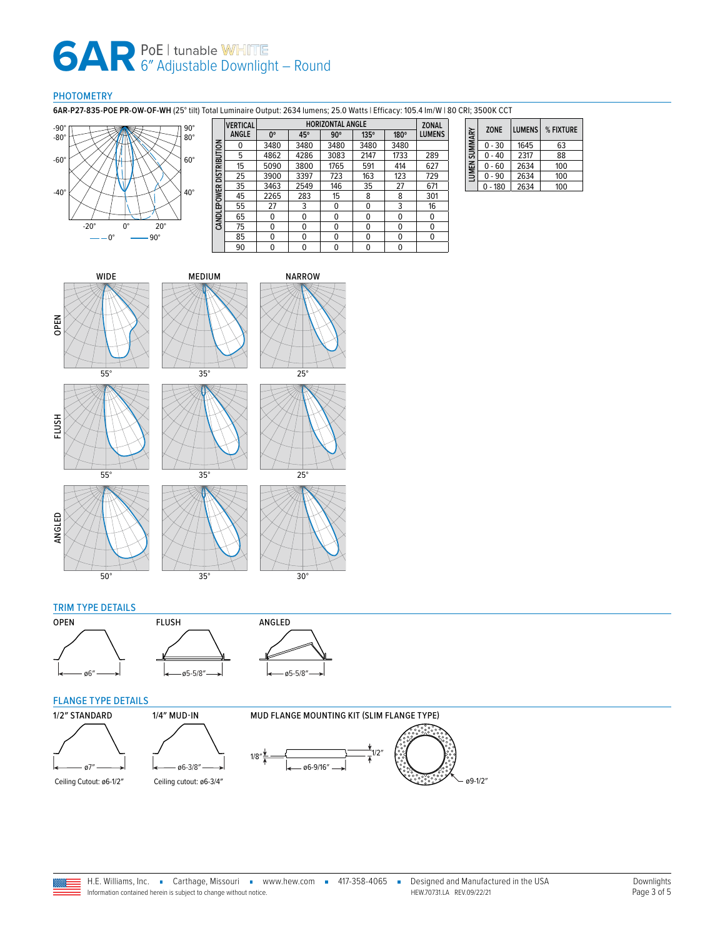#### PHOTOMETRY

**6AR-P27-835-POE PR-OW-OF-WH** (25° tilt) Total Luminaire Output: 2634 lumens; 25.0 Watts | Efficacy: 105.4 lm/W | 80 CRI; 3500K CCT



|                          | <b>VERTICAL</b> | <b>HORIZONTAL ANGLE</b> |          |            |      |      | <b>ZONAL</b> |
|--------------------------|-----------------|-------------------------|----------|------------|------|------|--------------|
|                          | <b>ANGLE</b>    | $0^{\circ}$             | 45°      | $90^\circ$ | 135° | 180° | LUMENS       |
| CANDLEPOWER DISTRIBUTION | 0               | 3480                    | 3480     | 3480       | 3480 | 3480 |              |
|                          | 5               | 4862                    | 4286     | 3083       | 2147 | 1733 | 289          |
|                          | 15              | 5090                    | 3800     | 1765       | 591  | 414  | 627          |
|                          | 25              | 3900                    | 3397     | 723        | 163  | 123  | 729          |
|                          | 35              | 3463                    | 2549     | 146        | 35   | 27   | 671          |
|                          | 45              | 2265                    | 283      | 15         | 8    | 8    | 301          |
|                          | 55              | 27                      | 3        | 0          | 0    | 3    | 16           |
|                          | 65              | 0                       | 0        | 0          | 0    | 0    | 0            |
|                          | 75              | 0                       | 0        | 0          | 0    | 0    | 0            |
|                          | 85              | 0                       | $\Omega$ | 0          | 0    | 0    | 0            |
|                          | 90              | 0                       | 0        | 0          | 0    | 0    |              |

| SUMMARY            | <b>ZONE</b> | <b>LUMENS</b> | % FIXTURE |
|--------------------|-------------|---------------|-----------|
|                    | $0 - 30$    | 1645          | 63        |
|                    | $0 - 40$    | 2317          | 88        |
| LUMEN <sub>S</sub> | $0 - 60$    | 2634          | 100       |
|                    | $0 - 90$    | 2634          | 100       |
|                    | $0 - 180$   | 2634          | 100       |















#### TRIM TYPE DETAILS





### <span id="page-2-0"></span>FLANGE TYPE DETAILS





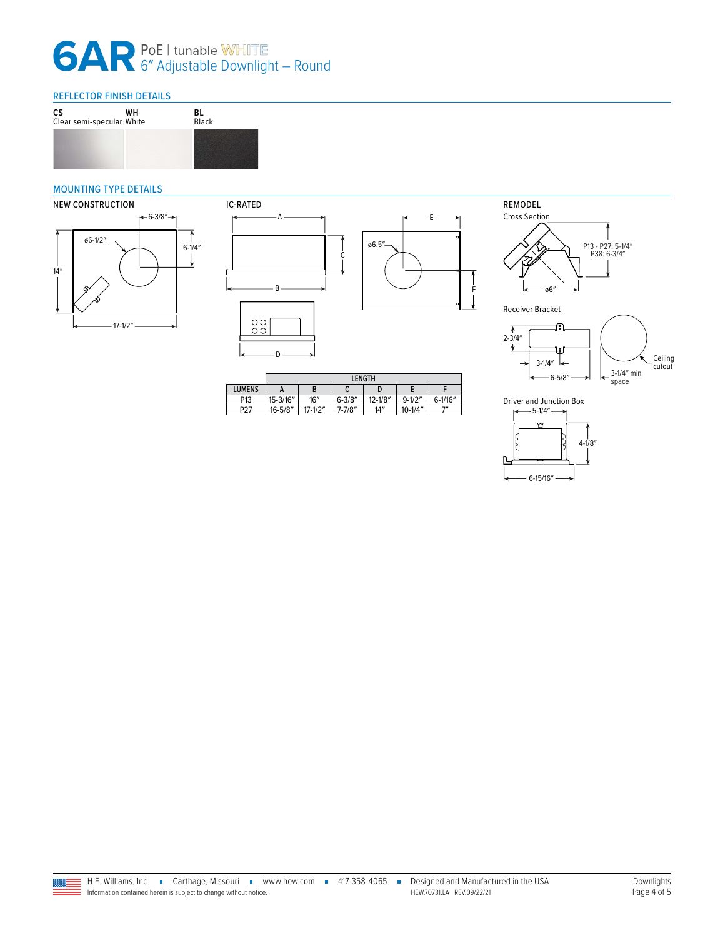#### REFLECTOR FINISH DETAILS



#### <span id="page-3-0"></span>MOUNTING TYPE DETAILS









Receiver Bracket



**LENGTH LUMENS A B C D E F** P13 15-3/16″ 16″ 6-3/8″ 12-1/8″ 9-1/2″ 6-1/1<br>P27 16-5/8″ 17-1/2″ 7-7/8″ 14″ 10-1/4″ 7″ 16-5/8″ 17-1/2″